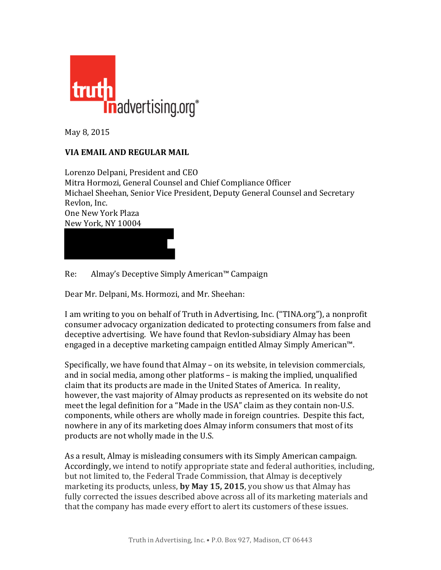

May 8, 2015

## **VIA EMAIL AND REGULAR MAIL**

Lorenzo Delpani, President and CEO Mitra Hormozi, General Counsel and Chief Compliance Officer Michael Sheehan, Senior Vice President, Deputy General Counsel and Secretary Revlon, Inc. One New York Plaza New York, NY 10004

Re: Almay's Deceptive Simply American™ Campaign

Dear Mr. Delpani, Ms. Hormozi, and Mr. Sheehan:

I am writing to you on behalf of Truth in Advertising, Inc. ("TINA.org"), a nonprofit consumer advocacy organization dedicated to protecting consumers from false and deceptive advertising. We have found that Revlon-subsidiary Almay has been engaged in a deceptive marketing campaign entitled Almay Simply American<sup> $m$ </sup>.

Specifically, we have found that Almay – on its website, in television commercials, and in social media, among other platforms  $-$  is making the implied, unqualified claim that its products are made in the United States of America. In reality, however, the vast majority of Almay products as represented on its website do not meet the legal definition for a "Made in the USA" claim as they contain non-U.S. components, while others are wholly made in foreign countries. Despite this fact, nowhere in any of its marketing does Almay inform consumers that most of its products are not wholly made in the U.S.

As a result, Almay is misleading consumers with its Simply American campaign. Accordingly, we intend to notify appropriate state and federal authorities, including, but not limited to, the Federal Trade Commission, that Almay is deceptively marketing its products, unless, by May 15, 2015, you show us that Almay has fully corrected the issues described above across all of its marketing materials and that the company has made every effort to alert its customers of these issues.